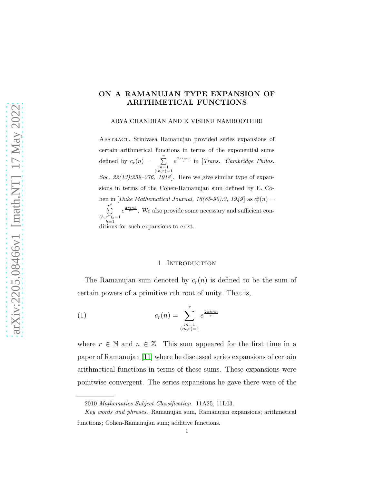# ON A RAMANUJAN TYPE EXPANSION OF ARITHMETICAL FUNCTIONS

ARYA CHANDRAN AND K VISHNU NAMBOOTHIRI

Abstract. Srinivasa Ramanujan provided series expansions of certain arithmetical functions in terms of the exponential sums defined by  $c_r(n) = \sum_{\substack{m=1 \ (m,r)=1}}^r$ e 2πimn <sup>r</sup> in [*Trans. Cambridge Philos. Soc, 22(13):259–276, 1918*]. Here we give similar type of expansions in terms of the Cohen-Ramanujan sum defined by E. Cohen in [*Duke Mathematical Journal, 16(85-90):2, 1949*] as  $c_r^s(n)$  =  $\sum_{i=1}^{r}$  $(h,r^s)_{s=1}$  $h=1$ <br>ditions for such expansions to exist.  $e^{\frac{2\pi i n h}{r^s}}$ . We also provide some necessary and sufficient con-

#### 1. Introduction

The Ramanujan sum denoted by  $c_r(n)$  is defined to be the sum of certain powers of a primitive rth root of unity. That is,

(1) 
$$
c_r(n) = \sum_{\substack{m=1 \ (m,r)=1}}^r e^{\frac{2\pi i mn}{r}}
$$

where  $r \in \mathbb{N}$  and  $n \in \mathbb{Z}$ . This sum appeared for the first time in a paper of Ramanujan [\[11\]](#page-16-0) where he discussed series expansions of certain arithmetical functions in terms of these sums. These expansions were pointwise convergent. The series expansions he gave there were of the

<sup>2010</sup> *Mathematics Subject Classification.* 11A25, 11L03.

*Key words and phrases.* Ramanujan sum, Ramanujan expansions; arithmetical functions; Cohen-Ramanujan sum; additive functions.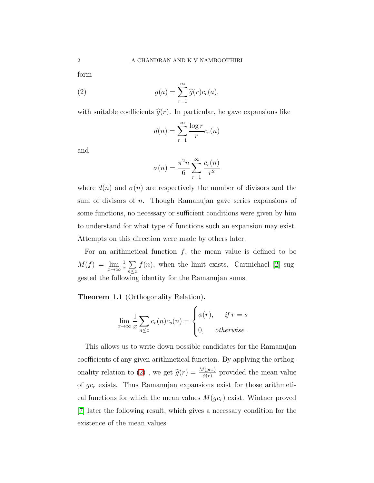form

<span id="page-1-0"></span>(2) 
$$
g(a) = \sum_{r=1}^{\infty} \widehat{g}(r)c_r(a),
$$

with suitable coefficients  $\hat{g}(r)$ . In particular, he gave expansions like

$$
d(n) = \sum_{r=1}^{\infty} \frac{\log r}{r} c_r(n)
$$

and

$$
\sigma(n) = \frac{\pi^2 n}{6} \sum_{r=1}^{\infty} \frac{c_r(n)}{r^2}
$$

where  $d(n)$  and  $\sigma(n)$  are respectively the number of divisors and the sum of divisors of n. Though Ramanujan gave series expansions of some functions, no necessary or sufficient conditions were given by him to understand for what type of functions such an expansion may exist. Attempts on this direction were made by others later.

For an arithmetical function  $f$ , the mean value is defined to be  $M(f) = \lim_{x \to \infty} \frac{1}{x}$  $\frac{1}{x}$   $\sum$  $n \leq x$  $f(n)$ , when the limit exists. Carmichael [\[2\]](#page-15-0) suggested the following identity for the Ramanujan sums.

Theorem 1.1 (Orthogonality Relation).

$$
\lim_{x \to \infty} \frac{1}{x} \sum_{n \le x} c_r(n) c_s(n) = \begin{cases} \phi(r), & \text{if } r = s \\ 0, & \text{otherwise.} \end{cases}
$$

This allows us to write down possible candidates for the Ramanujan coefficients of any given arithmetical function. By applying the orthog-onality relation to [\(2\)](#page-1-0), we get  $\hat{g}(r) = \frac{M(gc_r)}{\phi(r)}$  provided the mean value of  $gc_r$  exists. Thus Ramanujan expansions exist for those arithmetical functions for which the mean values  $M(gc_r)$  exist. Wintner proved [\[7\]](#page-16-1) later the following result, which gives a necessary condition for the existence of the mean values.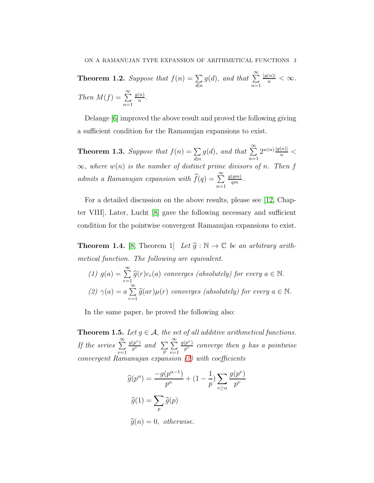**Theorem 1.2.** Suppose that  $f(n) = \sum$  $d|n$  $g(d)$ , and that  $\sum^{\infty}$  $n=1$  $\frac{|g(n)|}{n} < \infty$ . Then  $M(f) = \sum_{n=1}^{\infty}$  $n=1$  $g(n)$  $\frac{(n)}{n}$ .

Delange [\[6\]](#page-16-2) improved the above result and proved the following giving a sufficient condition for the Ramanujan expansions to exist.

**Theorem 1.3.** Suppose that  $f(n) = \sum$  $d|n$  $g(d)$ , and that  $\sum^{\infty}$  $n=1$  $2^{w(n)}\frac{|g(n)|}{n}<$  $\infty$ , where  $w(n)$  is the number of distinct prime divisors of n. Then f admits a Ramanujan expansion with  $\widehat{f}(q) = \sum_{n=1}^{\infty}$  $g(qm)$  $\frac{(qm)}{qm}.$ 

For a detailed discussion on the above results, please see [\[12,](#page-16-3) Chapter VIII]. Later, Lucht [\[8\]](#page-16-4) gave the following necessary and sufficient condition for the pointwise convergent Ramanujan expansions to exist.

**Theorem 1.4.** [\[8,](#page-16-4) Theorem 1] Let  $\hat{g} : \mathbb{N} \to \mathbb{C}$  be an arbitrary arithmetical function. The following are equivalent.

(1) 
$$
g(a) = \sum_{r=1}^{\infty} \widehat{g}(r)c_r(a)
$$
 converges (absolutely) for every  $a \in \mathbb{N}$ .  
\n(2)  $\gamma(a) = a \sum_{r=1}^{\infty} \widehat{g}(ar)\mu(r)$  converges (absolutely) for every  $a \in \mathbb{N}$ .

In the same paper, he proved the following also:

**Theorem 1.5.** Let  $q \in \mathcal{A}$ , the set of all additive arithmetical functions. If the series  $\sum^{\infty}$  $v=1$  $g(p^v)$  $\frac{(p^v)}{p^v}$  and  $\sum_p$  $\sum_{i=1}^{\infty}$  $v=1$  $g(p^v)$  $\frac{(p^{\nu})}{p^{\nu}}$  converge then g has a pointwise convergent Ramanujan expansion [\(2\)](#page-1-0) with coefficients

$$
\widehat{g}(p^{\alpha}) = \frac{-g(p^{\alpha-1})}{p^{\alpha}} + (1 - \frac{1}{p}) \sum_{v \ge \alpha} \frac{g(p^v)}{p^v}
$$

$$
\widehat{g}(1) = \sum_p \widehat{g}(p)
$$

 $\widehat{g}(n) = 0$ , otherwise.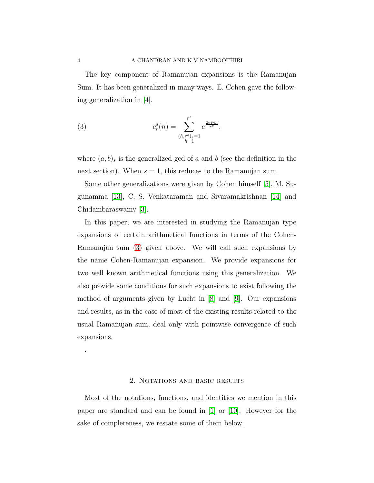The key component of Ramanujan expansions is the Ramanujan Sum. It has been generalized in many ways. E. Cohen gave the following generalization in [\[4\]](#page-16-5).

<span id="page-3-0"></span>(3) 
$$
c_r^s(n) = \sum_{\substack{(h,r^s)_{s}=1\\h=1}}^{r^s} e^{\frac{2\pi i n h}{r^s}},
$$

where  $(a, b)$ <sub>s</sub> is the generalized gcd of a and b (see the definition in the next section). When  $s = 1$ , this reduces to the Ramanujan sum.

Some other generalizations were given by Cohen himself [\[5\]](#page-16-6), M. Sugunamma [\[13\]](#page-16-7), C. S. Venkataraman and Sivaramakrishnan [\[14\]](#page-16-8) and Chidambaraswamy [\[3\]](#page-15-1).

In this paper, we are interested in studying the Ramanujan type expansions of certain arithmetical functions in terms of the Cohen-Ramanujan sum [\(3\)](#page-3-0) given above. We will call such expansions by the name Cohen-Ramanujan expansion. We provide expansions for two well known arithmetical functions using this generalization. We also provide some conditions for such expansions to exist following the method of arguments given by Lucht in [\[8\]](#page-16-4) and [\[9\]](#page-16-9). Our expansions and results, as in the case of most of the existing results related to the usual Ramanujan sum, deal only with pointwise convergence of such expansions.

## 2. NOTATIONS AND BASIC RESULTS

Most of the notations, functions, and identities we mention in this paper are standard and can be found in [\[1\]](#page-15-2) or [\[10\]](#page-16-10). However for the sake of completeness, we restate some of them below.

.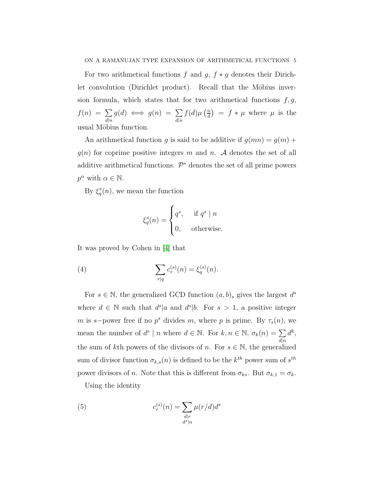For two arithmetical functions f and g,  $f * g$  denotes their Dirichlet convolution (Dirichlet product). Recall that the Möbius inversion formula, which states that for two arithmetical functions  $f, g$ ,  $f(n) = \sum$  $d|n$  $g(d) \iff g(n) = \sum$  $d|n$  $f(d)\mu\left(\frac{n}{d}\right)$  $\left(\frac{n}{d}\right) = f * \mu$  where  $\mu$  is the usual Möbius function.

An arithmetical function g is said to be additive if  $g(mn) = g(m) +$  $g(n)$  for coprime positive integers m and n. A denotes the set of all additive arithmetical functions.  $\mathcal{P}^*$  denotes the set of all prime powers  $p^{\alpha}$  with  $\alpha \in \mathbb{N}$ .

By  $\xi_q^s(n)$ , we mean the function

$$
\xi_q^s(n) = \begin{cases} q^s, & \text{if } q^s \mid n \\ 0, & \text{otherwise.} \end{cases}
$$

It was proved by Cohen in [\[4\]](#page-16-5) that

<span id="page-4-1"></span>(4) 
$$
\sum_{r|q} c_r^{(s)}(n) = \xi_q^{(s)}(n).
$$

For  $s \in \mathbb{N}$ , the generalized GCD function  $(a, b)_s$  gives the largest  $d^s$ where  $d \in \mathbb{N}$  such that  $d^s|a$  and  $d^s|b$ . For  $s > 1$ , a positive integer m is s-power free if no  $p^s$  divides m, where p is prime. By  $\tau_s(n)$ , we mean the number of  $d^s \mid n$  where  $d \in \mathbb{N}$ . For  $k, n \in \mathbb{N}$ ,  $\sigma_k(n) = \sum$  $d|n$  $d^k,$ the sum of kth powers of the divisors of n. For  $s \in \mathbb{N}$ , the generalized sum of divisor function  $\sigma_{k,s}(n)$  is defined to be the  $k^{th}$  power sum of  $s^{th}$ power divisors of n. Note that this is different from  $\sigma_{ks}$ . But  $\sigma_{k,1} = \sigma_k$ .

Using the identity

<span id="page-4-0"></span>(5) 
$$
c_r^{(s)}(n) = \sum_{\substack{d|r\\d^s|n}} \mu(r/d)d^s
$$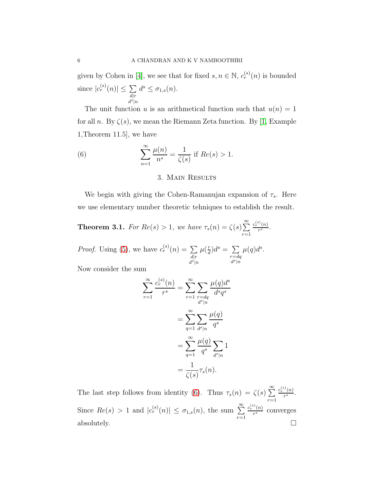given by Cohen in [\[4\]](#page-16-5), we see that for fixed  $s, n \in \mathbb{N}$ ,  $c_r^{(s)}(n)$  is bounded since  $|c_r^{(s)}(n)| \leq \sum$  $d|r$  $d^s|n$  $d^s \leq \sigma_{1,s}(n)$ .

The unit function u is an arithmetical function such that  $u(n) = 1$ for all n. By  $\zeta(s)$ , we mean the Riemann Zeta function. By [\[1,](#page-15-2) Example 1,Theorem 11.5], we have

<span id="page-5-0"></span>(6) 
$$
\sum_{n=1}^{\infty} \frac{\mu(n)}{n^s} = \frac{1}{\zeta(s)} \text{ if } Re(s) > 1.
$$

# 3. Main Results

We begin with giving the Cohen-Ramanujan expansion of  $\tau_s$ . Here we use elementary number theoretic tehniques to establish the result.

<span id="page-5-1"></span>**Theorem 3.1.** For 
$$
Re(s) > 1
$$
, we have  $\tau_s(n) = \zeta(s) \sum_{r=1}^{\infty} \frac{c_r^{(s)}(n)}{r^s}$ .

*Proof.* Using [\(5\)](#page-4-0), we have  $c_r^{(s)}(n) = \sum$  $d|r$  $d^s|n$  $\mu(\frac{r}{d})$  $\frac{d}{d}$ ) $d^s = \sum$  $r = dq$  $d^s|n$  $\mu(q)d^s$ .

Now consider the sum

$$
\sum_{r=1}^{\infty} \frac{c_r^{(s)}(n)}{r^s} = \sum_{r=1}^{\infty} \sum_{\substack{r=dq \ d^s|n}} \frac{\mu(q)d^s}{d^sq^s}
$$

$$
= \sum_{q=1}^{\infty} \sum_{d^s|n} \frac{\mu(q)}{q^s}
$$

$$
= \sum_{q=1}^{\infty} \frac{\mu(q)}{q^s} \sum_{d^s|n} 1
$$

$$
= \frac{1}{\zeta(s)} \tau_s(n).
$$

The last step follows from identity [\(6\)](#page-5-0). Thus  $\tau_s(n) = \zeta(s) \sum_{r=1}^{\infty} \frac{c_r^{(s)}(n)}{r^s}$  $r=1$  $rac{(n)}{r^s}$ . Since  $Re(s) > 1$  and  $|c_r^{(s)}(n)| \leq \sigma_{1,s}(n)$ , the sum  $\sum_{r=1}^{\infty}$  $r=1$  $c_r^{(s)}(n)$  $\frac{r(n)}{r^s}$  converges absolutely.  $\square$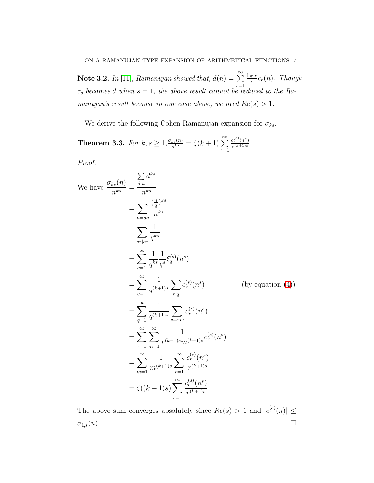**Note 3.2.** In [\[11\]](#page-16-0), Ramanujan showed that,  $d(n) = \sum_{n=1}^{\infty}$  $r=1$  $\log r$  $\frac{gr}{r}c_r(n)$ . Though  $\tau_s$  becomes d when  $s = 1$ , the above result cannot be reduced to the Ramanujan's result because in our case above, we need  $Re(s) > 1$ .

We derive the following Cohen-Ramanujan expansion for  $\sigma_{ks}$ .

**Theorem 3.3.** For  $k, s \geq 1, \frac{\sigma_{ks}(n)}{n^{ks}} = \zeta(k+1) \sum_{r=1}^{\infty}$  $c_r^{(s)}(n^s)$  $\frac{c_r^\rightarrow(n^\rightarrow)}{r^{(k+1)s}}$ .

Proof.

We have 
$$
\frac{\sigma_{ks}(n)}{n^{ks}} = \frac{\sum_{d|n} d^{ks}}{n^{ks}}
$$
  
\n $= \sum_{n=dq} \frac{(\frac{n}{q})^{ks}}{n^{ks}}$   
\n $= \sum_{q^*|n^s} \frac{1}{q^{ks}}$   
\n $= \sum_{q=1}^{\infty} \frac{1}{q^{ks}} \frac{1}{q^s} \xi_s^{(s)}(n^s)$   
\n $= \sum_{q=1}^{\infty} \frac{1}{q^{(k+1)s}} \sum_{r|q} c_r^{(s)}(n^s)$  (by equation (4))  
\n $= \sum_{q=1}^{\infty} \frac{1}{q^{(k+1)s}} \sum_{q=rm} c_r^{(s)}(n^s)$   
\n $= \sum_{r=1}^{\infty} \sum_{m=1}^{\infty} \frac{1}{r^{(k+1)s}m^{(k+1)s}} c_r^{(s)}(n^s)$   
\n $= \sum_{m=1}^{\infty} \frac{1}{m^{(k+1)s}} \sum_{r=1}^{\infty} \frac{c_r^{(s)}(n^s)}{r^{(k+1)s}}$   
\n $= \zeta((k+1)s) \sum_{r=1}^{\infty} \frac{c_r^{(s)}(n^s)}{r^{(k+1)s}}.$ 

The above sum converges absolutely since  $Re(s) > 1$  and  $|c_r^{(s)}(n)| \le$  $\sigma_{1,s}(n)$ .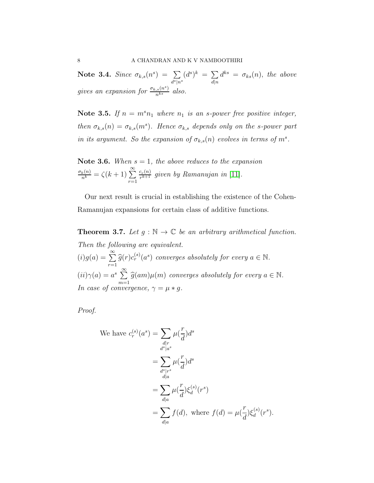Note 3.4. Since  $\sigma_{k,s}(n^s) = \sum_{s=1}^{s}$  $\sum_{d^s|n^s}(d^s)^k = \sum_{d|n}$  $d|n$  $d^{ks} = \sigma_{ks}(n)$ , the above gives an expansion for  $\frac{\sigma_{k,s}(n^s)}{n^{ks}}$  also.

Note 3.5. If  $n = m^s n_1$  where  $n_1$  is an s-power free positive integer, then  $\sigma_{k,s}(n) = \sigma_{k,s}(m^s)$ . Hence  $\sigma_{k,s}$  depends only on the s-power part in its argument. So the expansion of  $\sigma_{k,s}(n)$  evolves in terms of  $m^s$ .

Note 3.6. When  $s = 1$ , the above reduces to the expansion  $\frac{\sigma_k(n)}{n^k} = \zeta(k+1) \sum_{r=1}^{\infty}$  $c_r(n)$  $\frac{c_r(n)}{r^{k+1}}$  given by Ramanujan in [\[11\]](#page-16-0).

Our next result is crucial in establishing the existence of the Cohen-Ramanujan expansions for certain class of additive functions.

<span id="page-7-0"></span>**Theorem 3.7.** Let  $g : \mathbb{N} \to \mathbb{C}$  be an arbitrary arithmetical function. Then the following are equivalent.  $(i)g(a) = \sum^{\infty}$  $\sum_{r=1}^{\infty} \hat{g}(r) c_r^{(s)}(a^s)$  converges absolutely for every  $a \in \mathbb{N}$ .  $(ii)\gamma(a) = a^s \sum_{n=1}^{\infty}$  $\sum_{m=1}^{\infty} \widehat{g}(am)\mu(m)$  converges absolutely for every  $a \in \mathbb{N}$ . In case of convergence,  $\gamma = \mu * g$ .

Proof.

We have 
$$
c_r^{(s)}(a^s) = \sum_{\substack{d \mid r \\ d^s \mid a^s}} \mu(\frac{r}{d}) d^s
$$
  
\n
$$
= \sum_{\substack{d^s \mid r^s \\ d \mid a}} \mu(\frac{r}{d}) d^s
$$
\n
$$
= \sum_{\substack{d \mid a \\ d \mid a}} \mu(\frac{r}{d}) \xi_d^{(s)}(r^s)
$$
\n
$$
= \sum_{\substack{d \mid a \\ d \mid a}} f(d), \text{ where } f(d) = \mu(\frac{r}{d}) \xi_d^{(s)}(r^s).
$$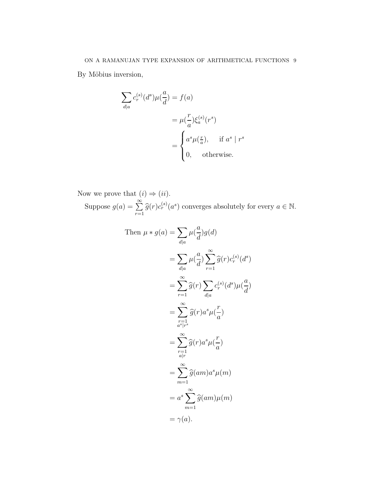By Möbius inversion,

$$
\sum_{d|a} c_r^{(s)}(d^s) \mu(\frac{a}{d}) = f(a)
$$
  
= 
$$
\mu(\frac{r}{a}) \xi_a^{(s)}(r^s)
$$
  
= 
$$
\begin{cases} a^s \mu(\frac{r}{a}), & \text{if } a^s \mid r^s \\ 0, & \text{otherwise.} \end{cases}
$$

Now we prove that  $(i) \Rightarrow (ii)$ . Suppose  $g(a) = \sum^{\infty}$  $\sum_{r=1}^{\infty} \hat{g}(r) c_r^{(s)}(a^s)$  converges absolutely for every  $a \in \mathbb{N}$ .

Then 
$$
\mu * g(a) = \sum_{d|a} \mu(\frac{a}{d})g(d)
$$
  
\n
$$
= \sum_{d|a} \mu(\frac{a}{d}) \sum_{r=1}^{\infty} \widehat{g}(r) c_r^{(s)}(d^s)
$$
\n
$$
= \sum_{r=1}^{\infty} \widehat{g}(r) \sum_{d|a} c_r^{(s)}(d^s) \mu(\frac{a}{d})
$$
\n
$$
= \sum_{\substack{r=1 \ a^s \mid r^s}}^{\infty} \widehat{g}(r) a^s \mu(\frac{r}{a})
$$
\n
$$
= \sum_{\substack{r=1 \ a^r \ n \neq 1}}^{\infty} \widehat{g}(r) a^s \mu(\frac{r}{a})
$$
\n
$$
= \sum_{m=1}^{\infty} \widehat{g}(am) a^s \mu(m)
$$
\n
$$
= a^s \sum_{m=1}^{\infty} \widehat{g}(am) \mu(m)
$$
\n
$$
= \gamma(a).
$$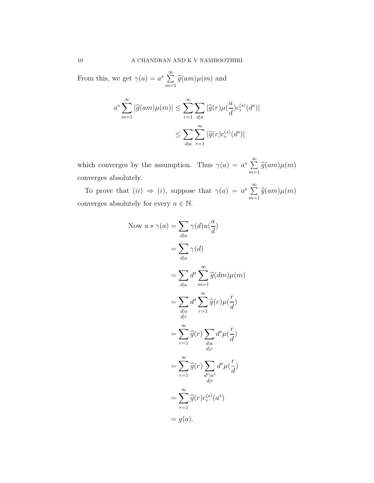From this, we get  $\gamma(a) = a^s \sum_{n=1}^{\infty}$  $\sum_{m=1} \widehat{g}(am)\mu(m)$  and

$$
a^s \sum_{m=1}^{\infty} |\widehat{g}(am)\mu(m)| \le \sum_{r=1}^{\infty} \sum_{d|a} |\widehat{g}(r)\mu(\frac{a}{d})c_r^{(s)}(d^s)|
$$
  

$$
\le \sum_{d|a} \sum_{r=1}^{\infty} |\widehat{g}(r)c_r^{(s)}(d^s)|
$$

which converges by the assumption. Thus  $\gamma(a) = a^s \sum_{n=1}^{\infty} a^n$  $\sum_{m=1} \widehat{g}(am)\mu(m)$ converges absolutely.

To prove that  $(ii) \Rightarrow (i)$ , suppose that  $\gamma(a) = a^s \sum_{i=1}^{\infty} a_i$  $\sum_{m=1} \widehat{g}(am)\mu(m)$ converges absolutely for every  $a \in \mathbb{N}$ .

Now 
$$
u * \gamma(a) = \sum_{d|a} \gamma(d)u(\frac{a}{d})
$$
  
\n
$$
= \sum_{d|a} \gamma(d)
$$
\n
$$
= \sum_{d|a} d^s \sum_{m=1}^{\infty} \widehat{g}(dm)\mu(m)
$$
\n
$$
= \sum_{d|a} d^s \sum_{r=1}^{\infty} \widehat{g}(r)\mu(\frac{r}{d})
$$
\n
$$
= \sum_{r=1}^{\infty} \widehat{g}(r) \sum_{\substack{d|a\\d|r}} d^s \mu(\frac{r}{d})
$$
\n
$$
= \sum_{r=1}^{\infty} \widehat{g}(r) \sum_{\substack{d|a\\d|r}} d^s \mu(\frac{r}{d})
$$
\n
$$
= \sum_{r=1}^{\infty} \widehat{g}(r)c_r^{(s)}(a^s)
$$
\n
$$
= g(a).
$$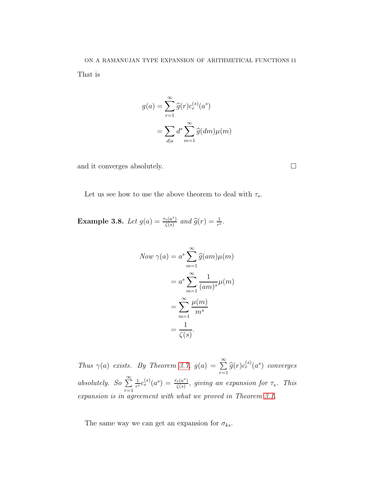That is

$$
g(a) = \sum_{r=1}^{\infty} \widehat{g}(r)c_r^{(s)}(a^s)
$$

$$
= \sum_{d|a} d^s \sum_{m=1}^{\infty} \widehat{g}(dm)\mu(m)
$$

and it converges absolutely.  $\Box$ 

Let us see how to use the above theorem to deal with  $\tau_s$ .

Example 3.8. Let  $g(a) = \frac{\tau_s(a^s)}{f(s)}$  $\frac{f_s(a^s)}{\zeta(s)}$  and  $\widehat{g}(r) = \frac{1}{r^s}$ .

Now 
$$
\gamma(a) = a^s \sum_{m=1}^{\infty} \hat{g}(am)\mu(m)
$$
  

$$
= a^s \sum_{m=1}^{\infty} \frac{1}{(am)^s} \mu(m)
$$

$$
= \sum_{m=1}^{\infty} \frac{\mu(m)}{m^s}
$$

$$
= \frac{1}{\zeta(s)}.
$$

Thus  $\gamma(a)$  exists. By Theorem [3.7,](#page-7-0)  $g(a) = \sum_{n=0}^{\infty}$  $\sum_{r=1}^{\infty} \widehat{g}(r) c_r^{(s)}(a^s)$  converges absolutely. So  $\sum^{\infty}$  $r=1$ 1  $\frac{1}{r^s}c_r^{(s)}(a^s)=\frac{\tau_s(a^s)}{\zeta(s)}$  $\frac{\zeta(s)}{\zeta(s)}$ , giving an expansion for  $\tau_s$ . This expansion is in agreement with what we proved in Theorem [3.1.](#page-5-1)

The same way we can get an expansion for  $\sigma_{ks}$ .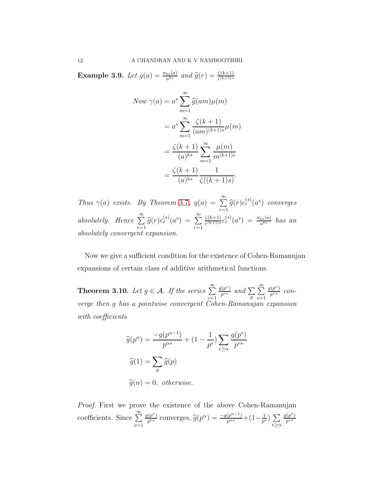**Example 3.9.** Let  $g(a) = \frac{\sigma_{ks}(a)}{a^{ks}}$  and  $\widehat{g}(r) = \frac{\zeta(k+1)}{r^{(k+1)s}}$ 

Now 
$$
\gamma(a) = a^s \sum_{m=1}^{\infty} \hat{g}(am)\mu(m)
$$
  
\n
$$
= a^s \sum_{m=1}^{\infty} \frac{\zeta(k+1)}{(am)^{(k+1)s}} \mu(m)
$$
\n
$$
= \frac{\zeta(k+1)}{(a)^{ks}} \sum_{m=1}^{\infty} \frac{\mu(m)}{m^{(k+1)s}}
$$
\n
$$
= \frac{\zeta(k+1)}{(a)^{ks}} \frac{1}{\zeta((k+1)s)}.
$$

Thus  $\gamma(a)$  exists. By Theorem [3](#page-7-0).7,  $g(a) = \sum_{n=0}^{\infty}$  $\sum_{r=1}^{\infty} \widehat{g}(r) c_r^{(s)}(a^s)$  converges absolutely. Hence  $\sum^{\infty}$  $\sum_{r=1}^{\infty} \widehat{g}(r) c_r^{(s)}(a^s) = \sum_{r=1}^{\infty}$  $r=1$  $\zeta(k+1)$  $\frac{\zeta(k+1)}{r^{(k+1)s}}c_r^{(s)}(a^s)\ =\ \frac{\sigma_{ks}(a)}{a^{ks}}\ \ has\ \ an$ absolutely convergent expansion.

Now we give a sufficient condition for the existence of Cohen-Ramanujan expansions of certain class of additive arithmetical functions.

**Theorem 3.10.** Let  $g \in \mathcal{A}$ . If the series  $\sum^{\infty}$  $v=1$  $g(p^v)$  $\frac{p^{(p^v)}}{p^{vs}}$  and  $\sum_p$  $\sum_{i=1}^{\infty}$  $v=1$  $g(p^v)$  $\frac{(p^{\circ})}{p^{vs}}$  converge then g has a pointwise convergent Cohen-Ramanujan expansion with *coefficients* 

$$
\widehat{g}(p^{\alpha}) = \frac{-g(p^{\alpha-1})}{p^{\alpha s}} + (1 - \frac{1}{p^s}) \sum_{v \ge \alpha} \frac{g(p^v)}{p^{vs}}
$$

$$
\widehat{g}(1) = \sum_p \widehat{g}(p)
$$

$$
\widehat{g}(n) = 0, \text{ otherwise.}
$$

Proof. First we prove the existence of the above Cohen-Ramanujan coefficients. Since  $\sum_{n=1}^{\infty}$  $v=1$  $g(p^v)$  $\frac{p^{(p^v)}}{p^{vs}}$  converges,  $\widehat{g}(p^{\alpha}) = \frac{-g(p^{\alpha-1})}{p^{\alpha s}} + (1 - \frac{1}{p^s})$  $\frac{1}{p^s}$ )  $\sum$  $v \geq \alpha$  $g(p^v)$  $p^{vs}$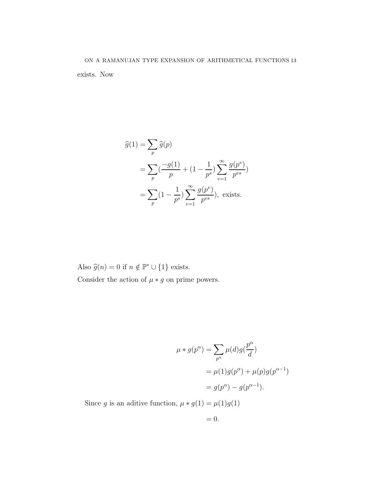$$
\begin{aligned}\n\widehat{g}(1) &= \sum_{p} \widehat{g}(p) \\
&= \sum_{p} \left( \frac{-g(1)}{p} + (1 - \frac{1}{p^s}) \sum_{v=1}^{\infty} \frac{g(p^v)}{p^{vs}} \right) \\
&= \sum_{p} \left( 1 - \frac{1}{p^s} \right) \sum_{v=1}^{\infty} \frac{g(p^v)}{p^{vs}} \right), \text{ exists.}\n\end{aligned}
$$

Also  $\widehat{g}(n) = 0$  if  $n \notin \mathbb{P}^* \cup \{1\}$  exists. Consider the action of  $\mu * g$  on prime powers.

$$
\mu * g(p^{\alpha}) = \sum_{p^{\alpha}} \mu(d)g(\frac{p^{\alpha}}{d})
$$

$$
= \mu(1)g(p^{\alpha}) + \mu(p)g(p^{\alpha-1})
$$

$$
= g(p^{\alpha}) - g(p^{\alpha-1}).
$$

Since  $g$  is an aditive function,  $\mu*g(1)=\mu(1)g(1)$ 

$$
= 0.
$$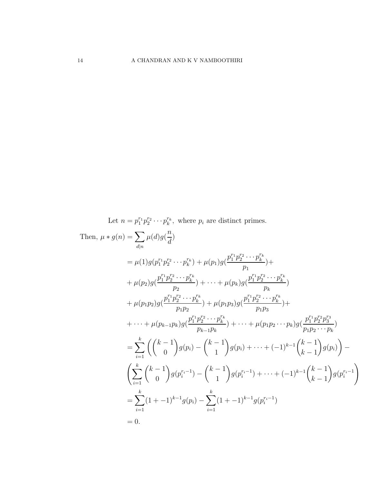Let  $n = p_1^{r_1} p_2^{r_2} \cdots p_k^{r_k}$ , where  $p_i$  are distinct primes. Then,  $\mu * g(n) = \sum$  $d|n$  $\mu(d)g($  $\overline{n}$ d )  $= \mu(1)g(p_1^{r_1}p_2^{r_2}\cdots p_k^{r_k}) + \mu(p_1)g($  $p_1^{r_1} p_2^{r_2} \cdots p_k^{r_k}$  $\overline{p}_1$  $) +$  $+\mu(p_2)g($  $p_1^{r_1} p_2^{r_2} \cdots p_k^{r_k}$  $\overline{p}_2$  $)+\cdots+\mu(p_k)g($  $p_1^{r_1} p_2^{r_2} \cdots p_k^{r_k}$  $p_k$ )  $+\mu(p_1p_2)g($  $p_1^{r_1} p_2^{r_2} \cdots p_k^{r_k}$  $p_1p_2$  $)+\mu(p_{1}p_{3})g($  $p_1^{r_1} p_2^{r_2} \cdots p_k^{r_k}$  $p_1p_3$  $) +$  $+ \cdots + \mu(p_{k-1}p_k)g(k)$  $p_1^{r_1} p_2^{r_2} \cdots p_k^{r_k}$  $p_{k-1}p_k$  $)+\cdots+\mu(p_1p_2\cdots p_k)g($  $p_1^{r_1}p_2^{r_2}p_3^{r_3}$  $p_1p_2\cdots p_k$ )  $=\sum_{k=0}^{k} \left( \int_{0}^{k-1}$  $i=1$ 0  $\setminus$  $g(p_i)$   $(k-1)$ 1  $\overline{\phantom{0}}$  $g(p_i) + \cdots + (-1)^{k-1}$  $(k-1)$  $k-1$  $\overline{ }$  $g(p_i)$  $\overline{ }$ −  $\left(\sum_{k=1}^{k} x_k\right)$  $i=1$  $(k-1)$  $\theta$  $\lambda$  $g(p_i^{r_i-1}) (k-1)$ 1  $\lambda$  $g(p_i^{r_i-1}) + \cdots + (-1)^{k-1}$  $(k-1)$  $k-1$  $\lambda$  $g(p_i^{r_i-1})$ !  $=\sum_{k=1}^{k}$  $i=1$  $(1 + -1)^{k-1}g(p_i) - \sum_{i=1}^{k}$  $i=1$  $(1 + -1)^{k-1} g(p_i^{r_i-1})$  $= 0.$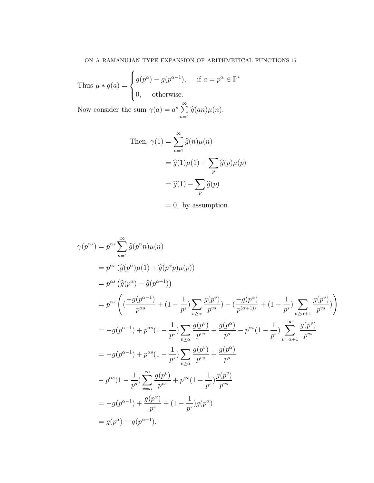Thus 
$$
\mu * g(a) = \begin{cases} g(p^{\alpha}) - g(p^{\alpha-1}), & \text{if } a = p^{\alpha} \in \mathbb{P}^* \\ 0, & \text{otherwise.} \end{cases}
$$

Now consider the sum  $\gamma(a) = a^s \sum_{n=1}^{\infty}$  $\sum_{n=1} \widehat{g}(an)\mu(n).$ 

Then, 
$$
\gamma(1) = \sum_{n=1}^{\infty} \hat{g}(n)\mu(n)
$$
  
=  $\hat{g}(1)\mu(1) + \sum_{p} \hat{g}(p)\mu(p)$   
=  $\hat{g}(1) - \sum_{p} \hat{g}(p)$ 

 $= 0$ , by assumption.

$$
\gamma(p^{\alpha s}) = p^{\alpha s} \sum_{n=1}^{\infty} \hat{g}(p^{\alpha}n)\mu(n)
$$
  
\n
$$
= p^{\alpha s} (\hat{g}(p^{\alpha})\mu(1) + \hat{g}(p^{\alpha}p)\mu(p))
$$
  
\n
$$
= p^{\alpha s} (\hat{g}(p^{\alpha}) - \hat{g}(p^{\alpha+1}))
$$
  
\n
$$
= p^{\alpha s} \left( \frac{-g(p^{\alpha-1})}{p^{\alpha s}} + (1 - \frac{1}{p^s}) \sum_{v \ge \alpha} \frac{g(p^v)}{p^{vs}} \right) - \left( \frac{-g(p^{\alpha})}{p^{\alpha+1}} \right) + (1 - \frac{1}{p^s}) \sum_{v \ge \alpha+1} \frac{g(p^v)}{p^{vs}} \right)
$$
  
\n
$$
= -g(p^{\alpha-1}) + p^{\alpha s} (1 - \frac{1}{p^s}) \sum_{v \ge \alpha} \frac{g(p^v)}{p^{vs}} + \frac{g(p^{\alpha})}{p^s} - p^{\alpha s} (1 - \frac{1}{p^s}) \sum_{v = \alpha+1}^{\infty} \frac{g(p^v)}{p^{vs}}
$$
  
\n
$$
= -g(p^{\alpha-1}) + p^{\alpha s} (1 - \frac{1}{p^s}) \sum_{v \ge \alpha} \frac{g(p^v)}{p^{vs}} + \frac{g(p^{\alpha})}{p^s}
$$
  
\n
$$
- p^{\alpha s} (1 - \frac{1}{p^s}) \sum_{v = \alpha}^{\infty} \frac{g(p^v)}{p^{vs}} + p^{\alpha s} (1 - \frac{1}{p^s}) \frac{g(p^v)}{p^{vs}}
$$
  
\n
$$
= -g(p^{\alpha-1}) + \frac{g(p^{\alpha})}{p^s} + (1 - \frac{1}{p^s}) g(p^{\alpha})
$$
  
\n
$$
= g(p^{\alpha}) - g(p^{\alpha-1}).
$$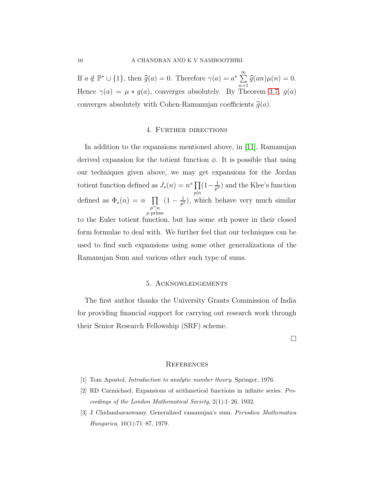If  $a \notin \mathbb{P}^* \cup \{1\}$ , then  $\widehat{g}(a) = 0$ . Therefore  $\gamma(a) = a^s \sum_{n=1}^{\infty}$  $\sum_{n=1} \widehat{g}(an)\mu(n) = 0.$ Hence  $\gamma(a) = \mu * g(a)$ , converges absolutely. By Theorem [3.7,](#page-7-0)  $g(a)$ converges absolutely with Cohen-Ramanujan coefficients  $\hat{g}(a)$ .

### 4. Further directions

In addition to the expansions mentioned above, in [\[11\]](#page-16-0), Ramanujan derived expansion for the totient function  $\phi$ . It is possible that using our techniques given above, we may get expansions for the Jordan totient function defined as  $J_s(n) = n^s \prod$  $p|n$  $(1 - \frac{1}{n^s})$  $\frac{1}{p^s}$ ) and the Klee's function defined as  $\Phi_s(n) = n \prod$  $p^s|n$ p prime  $(1 - \frac{1}{n^s})$  $\frac{1}{p^s}$ ), which behave very much similar to the Euler totient function, but has some sth power in their closed form formulae to deal with. We further feel that our techniques can be used to find such expansions using some other generalizations of the Ramanujan Sum and various other such type of sums.

## 5. Acknowledgements

The first author thanks the University Grants Commission of India for providing financial support for carrying out research work through their Senior Research Fellowship (SRF) scheme.

 $\Box$ 

### **REFERENCES**

- <span id="page-15-2"></span><span id="page-15-0"></span>[1] Tom Apostol. *Introduction to analytic number theory*. Springer, 1976.
- <span id="page-15-1"></span>[2] RD Carmichael. Expansions of arithmetical functions in infinite series. *Proceedings of the London Mathematical Society*, 2(1):1–26, 1932.
- [3] J Chidambaraswamy. Generalized ramanujan's sum. *Periodica Mathematica Hungarica*, 10(1):71–87, 1979.